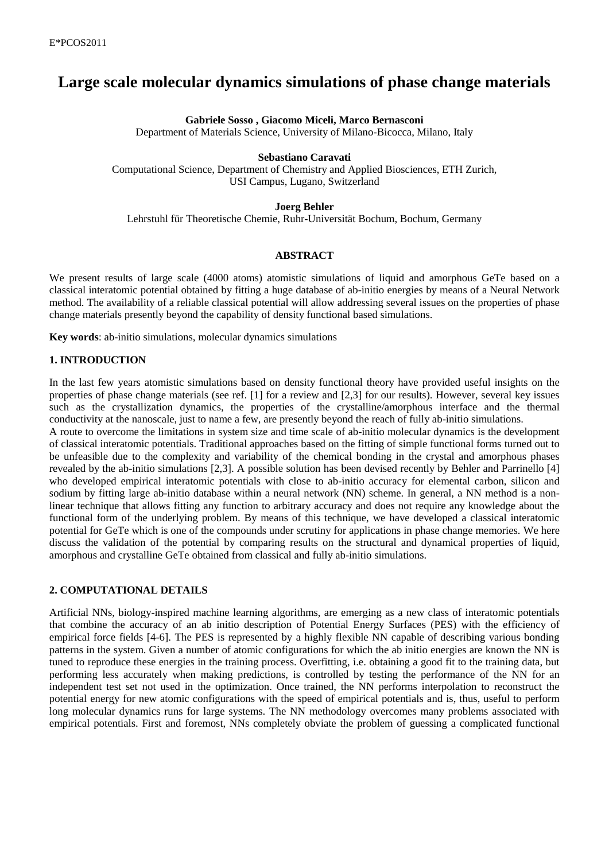# **Large scale molecular dynamics simulations of phase change materials**

## **Gabriele Sosso , Giacomo Miceli, Marco Bernasconi**

Department of Materials Science, University of Milano-Bicocca, Milano, Italy

## **Sebastiano Caravati**

Computational Science, Department of Chemistry and Applied Biosciences, ETH Zurich, USI Campus, Lugano, Switzerland

## **Joerg Behler**

Lehrstuhl für Theoretische Chemie, Ruhr-Universität Bochum, Bochum, Germany

## **ABSTRACT**

We present results of large scale (4000 atoms) atomistic simulations of liquid and amorphous GeTe based on a classical interatomic potential obtained by fitting a huge database of ab-initio energies by means of a Neural Network method. The availability of a reliable classical potential will allow addressing several issues on the properties of phase change materials presently beyond the capability of density functional based simulations.

**Key words**: ab-initio simulations, molecular dynamics simulations

# **1. INTRODUCTION**

In the last few years atomistic simulations based on density functional theory have provided useful insights on the properties of phase change materials (see ref. [1] for a review and [2,3] for our results). However, several key issues such as the crystallization dynamics, the properties of the crystalline/amorphous interface and the thermal conductivity at the nanoscale, just to name a few, are presently beyond the reach of fully ab-initio simulations.

A route to overcome the limitations in system size and time scale of ab-initio molecular dynamics is the development of classical interatomic potentials. Traditional approaches based on the fitting of simple functional forms turned out to be unfeasible due to the complexity and variability of the chemical bonding in the crystal and amorphous phases revealed by the ab-initio simulations [2,3]. A possible solution has been devised recently by Behler and Parrinello [4] who developed empirical interatomic potentials with close to ab-initio accuracy for elemental carbon, silicon and sodium by fitting large ab-initio database within a neural network (NN) scheme. In general, a NN method is a nonlinear technique that allows fitting any function to arbitrary accuracy and does not require any knowledge about the functional form of the underlying problem. By means of this technique, we have developed a classical interatomic potential for GeTe which is one of the compounds under scrutiny for applications in phase change memories. We here discuss the validation of the potential by comparing results on the structural and dynamical properties of liquid, amorphous and crystalline GeTe obtained from classical and fully ab-initio simulations.

# **2. COMPUTATIONAL DETAILS**

Artificial NNs, biology-inspired machine learning algorithms, are emerging as a new class of interatomic potentials that combine the accuracy of an ab initio description of Potential Energy Surfaces (PES) with the efficiency of empirical force fields [4-6]. The PES is represented by a highly flexible NN capable of describing various bonding patterns in the system. Given a number of atomic configurations for which the ab initio energies are known the NN is tuned to reproduce these energies in the training process. Overfitting, i.e. obtaining a good fit to the training data, but performing less accurately when making predictions, is controlled by testing the performance of the NN for an independent test set not used in the optimization. Once trained, the NN performs interpolation to reconstruct the potential energy for new atomic configurations with the speed of empirical potentials and is, thus, useful to perform long molecular dynamics runs for large systems. The NN methodology overcomes many problems associated with empirical potentials. First and foremost, NNs completely obviate the problem of guessing a complicated functional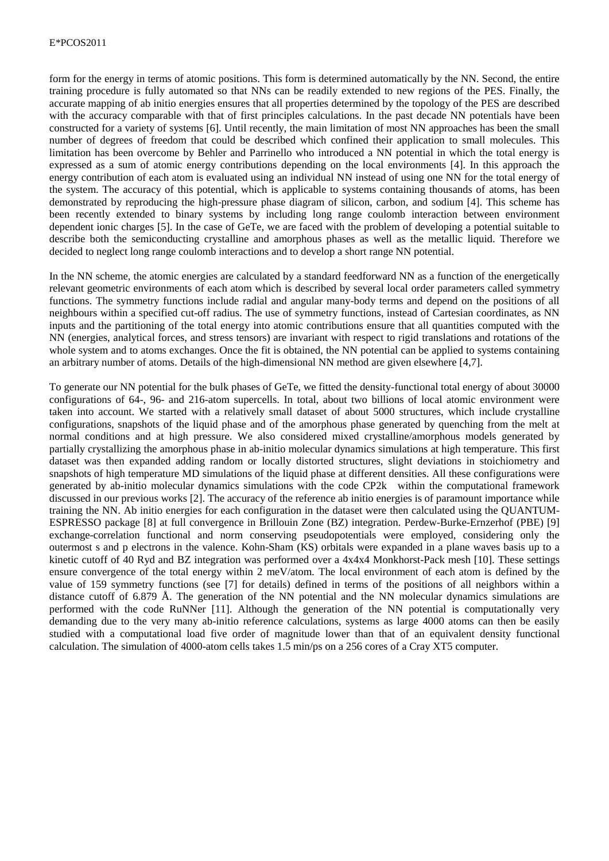form for the energy in terms of atomic positions. This form is determined automatically by the NN. Second, the entire training procedure is fully automated so that NNs can be readily extended to new regions of the PES. Finally, the accurate mapping of ab initio energies ensures that all properties determined by the topology of the PES are described with the accuracy comparable with that of first principles calculations. In the past decade NN potentials have been constructed for a variety of systems [6]. Until recently, the main limitation of most NN approaches has been the small number of degrees of freedom that could be described which confined their application to small molecules. This limitation has been overcome by Behler and Parrinello who introduced a NN potential in which the total energy is expressed as a sum of atomic energy contributions depending on the local environments [4]. In this approach the energy contribution of each atom is evaluated using an individual NN instead of using one NN for the total energy of the system. The accuracy of this potential, which is applicable to systems containing thousands of atoms, has been demonstrated by reproducing the high-pressure phase diagram of silicon, carbon, and sodium [4]. This scheme has been recently extended to binary systems by including long range coulomb interaction between environment dependent ionic charges [5]. In the case of GeTe, we are faced with the problem of developing a potential suitable to describe both the semiconducting crystalline and amorphous phases as well as the metallic liquid. Therefore we decided to neglect long range coulomb interactions and to develop a short range NN potential.

In the NN scheme, the atomic energies are calculated by a standard feedforward NN as a function of the energetically relevant geometric environments of each atom which is described by several local order parameters called symmetry functions. The symmetry functions include radial and angular many-body terms and depend on the positions of all neighbours within a specified cut-off radius. The use of symmetry functions, instead of Cartesian coordinates, as NN inputs and the partitioning of the total energy into atomic contributions ensure that all quantities computed with the NN (energies, analytical forces, and stress tensors) are invariant with respect to rigid translations and rotations of the whole system and to atoms exchanges. Once the fit is obtained, the NN potential can be applied to systems containing an arbitrary number of atoms. Details of the high-dimensional NN method are given elsewhere [4,7].

To generate our NN potential for the bulk phases of GeTe, we fitted the density-functional total energy of about 30000 configurations of 64-, 96- and 216-atom supercells. In total, about two billions of local atomic environment were taken into account. We started with a relatively small dataset of about 5000 structures, which include crystalline configurations, snapshots of the liquid phase and of the amorphous phase generated by quenching from the melt at normal conditions and at high pressure. We also considered mixed crystalline/amorphous models generated by partially crystallizing the amorphous phase in ab-initio molecular dynamics simulations at high temperature. This first dataset was then expanded adding random or locally distorted structures, slight deviations in stoichiometry and snapshots of high temperature MD simulations of the liquid phase at different densities. All these configurations were generated by ab-initio molecular dynamics simulations with the code CP2k within the computational framework discussed in our previous works [2]. The accuracy of the reference ab initio energies is of paramount importance while training the NN. Ab initio energies for each configuration in the dataset were then calculated using the QUANTUM-ESPRESSO package [8] at full convergence in Brillouin Zone (BZ) integration. Perdew-Burke-Ernzerhof (PBE) [9] exchange-correlation functional and norm conserving pseudopotentials were employed, considering only the outermost s and p electrons in the valence. Kohn-Sham (KS) orbitals were expanded in a plane waves basis up to a kinetic cutoff of 40 Ryd and BZ integration was performed over a 4x4x4 Monkhorst-Pack mesh [10]. These settings ensure convergence of the total energy within 2 meV/atom. The local environment of each atom is defined by the value of 159 symmetry functions (see [7] for details) defined in terms of the positions of all neighbors within a distance cutoff of 6.879 Å. The generation of the NN potential and the NN molecular dynamics simulations are performed with the code RuNNer [11]. Although the generation of the NN potential is computationally very demanding due to the very many ab-initio reference calculations, systems as large 4000 atoms can then be easily studied with a computational load five order of magnitude lower than that of an equivalent density functional calculation. The simulation of 4000-atom cells takes 1.5 min/ps on a 256 cores of a Cray XT5 computer.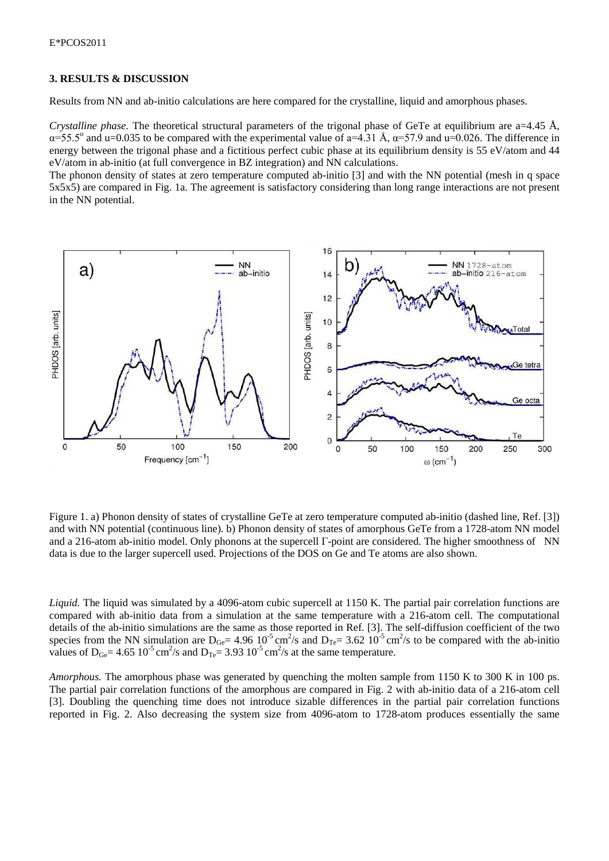## **3. RESULTS & DISCUSSION**

Results from NN and ab-initio calculations are here compared for the crystalline, liquid and amorphous phases.

*Crystalline phase.* The theoretical structural parameters of the trigonal phase of GeTe at equilibrium are a=4.45 Å,  $\alpha$ =55.5° and u=0.035 to be compared with the experimental value of a=4.31 Å,  $\alpha$ =57.9 and u=0.026. The difference in energy between the trigonal phase and a fictitious perfect cubic phase at its equilibrium density is 55 eV/atom and 44 eV/atom in ab-initio (at full convergence in BZ integration) and NN calculations.

The phonon density of states at zero temperature computed ab-initio [3] and with the NN potential (mesh in q space 5x5x5) are compared in Fig. 1a. The agreement is satisfactory considering than long range interactions are not present in the NN potential.



Figure 1. a) Phonon density of states of crystalline GeTe at zero temperature computed ab-initio (dashed line, Ref. [3]) and with NN potential (continuous line). b) Phonon density of states of amorphous GeTe from a 1728-atom NN model and a 216-atom ab-initio model. Only phonons at the supercell Γ-point are considered. The higher smoothness of NN data is due to the larger supercell used. Projections of the DOS on Ge and Te atoms are also shown.

*Liquid.* The liquid was simulated by a 4096-atom cubic supercell at 1150 K. The partial pair correlation functions are compared with ab-initio data from a simulation at the same temperature with a 216-atom cell. The computational details of the ab-initio simulations are the same as those reported in Ref. [3]. The self-diffusion coefficient of the two species from the NN simulation are  $D_{\text{Ge}} = 4.96 \, 10^{-5} \, \text{cm}^2/\text{s}$  and  $D_{\text{Te}} = 3.62 \, 10^{-5} \, \text{cm}^2/\text{s}$  to be compared with the ab-initio values of D<sub>Ge</sub> = 4.65 10<sup>-5</sup> cm<sup>2</sup>/s and D<sub>Te</sub> = 3.93 10<sup>-5</sup> cm<sup>2</sup>/s at the same temperature.

*Amorphous.* The amorphous phase was generated by quenching the molten sample from 1150 K to 300 K in 100 ps. The partial pair correlation functions of the amorphous are compared in Fig. 2 with ab-initio data of a 216-atom cell [3]. Doubling the quenching time does not introduce sizable differences in the partial pair correlation functions reported in Fig. 2. Also decreasing the system size from 4096-atom to 1728-atom produces essentially the same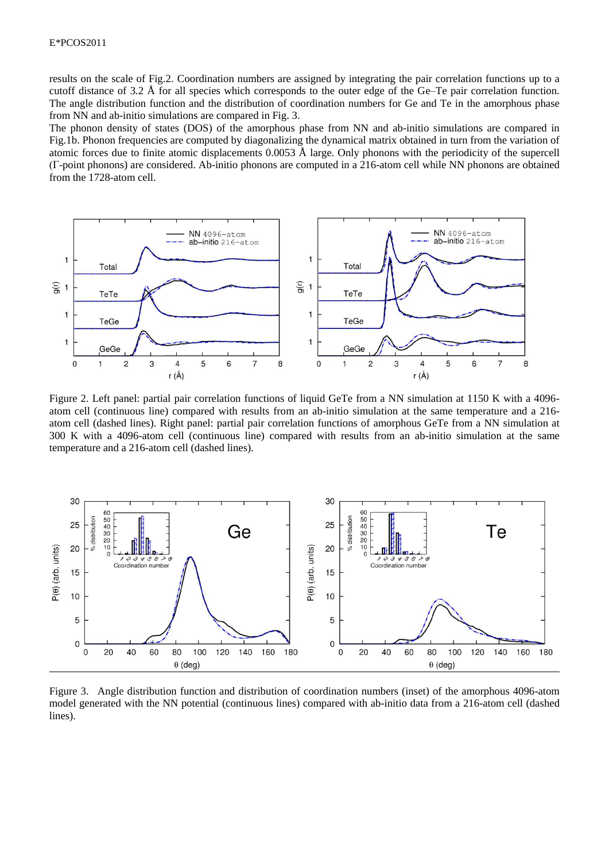results on the scale of Fig.2. Coordination numbers are assigned by integrating the pair correlation functions up to a cutoff distance of 3*.*2 Å for all species which corresponds to the outer edge of the Ge–Te pair correlation function. The angle distribution function and the distribution of coordination numbers for Ge and Te in the amorphous phase from NN and ab-initio simulations are compared in Fig. 3.

The phonon density of states (DOS) of the amorphous phase from NN and ab-initio simulations are compared in Fig.1b. Phonon frequencies are computed by diagonalizing the dynamical matrix obtained in turn from the variation of atomic forces due to finite atomic displacements 0.0053 Å large. Only phonons with the periodicity of the supercell (Γ-point phonons) are considered. Ab-initio phonons are computed in a 216-atom cell while NN phonons are obtained from the 1728-atom cell.



Figure 2. Left panel: partial pair correlation functions of liquid GeTe from a NN simulation at 1150 K with a 4096 atom cell (continuous line) compared with results from an ab-initio simulation at the same temperature and a 216 atom cell (dashed lines). Right panel: partial pair correlation functions of amorphous GeTe from a NN simulation at 300 K with a 4096-atom cell (continuous line) compared with results from an ab-initio simulation at the same temperature and a 216-atom cell (dashed lines).



Figure 3. Angle distribution function and distribution of coordination numbers (inset) of the amorphous 4096-atom model generated with the NN potential (continuous lines) compared with ab-initio data from a 216-atom cell (dashed lines).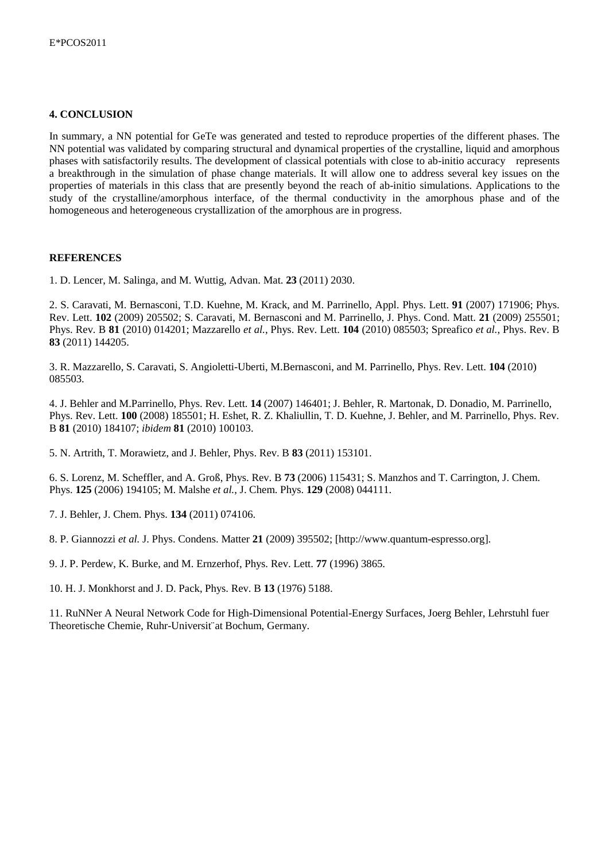## **4. CONCLUSION**

In summary, a NN potential for GeTe was generated and tested to reproduce properties of the different phases. The NN potential was validated by comparing structural and dynamical properties of the crystalline, liquid and amorphous phases with satisfactorily results. The development of classical potentials with close to ab-initio accuracy represents a breakthrough in the simulation of phase change materials. It will allow one to address several key issues on the properties of materials in this class that are presently beyond the reach of ab-initio simulations. Applications to the study of the crystalline/amorphous interface, of the thermal conductivity in the amorphous phase and of the homogeneous and heterogeneous crystallization of the amorphous are in progress.

## **REFERENCES**

1. D. Lencer, M. Salinga, and M. Wuttig, Advan. Mat. **23** (2011) 2030.

2. S. Caravati, M. Bernasconi, T.D. Kuehne, M. Krack, and M. Parrinello, Appl. Phys. Lett. **91** (2007) 171906; Phys. Rev. Lett. **102** (2009) 205502; S. Caravati, M. Bernasconi and M. Parrinello, J. Phys. Cond. Matt. **21** (2009) 255501; Phys. Rev. B **81** (2010) 014201; Mazzarello *et al.*, Phys. Rev. Lett. **104** (2010) 085503; Spreafico *et al.*, Phys. Rev. B **83** (2011) 144205.

3. R. Mazzarello, S. Caravati, S. Angioletti-Uberti, M.Bernasconi, and M. Parrinello, Phys. Rev. Lett. **104** (2010) 085503.

4. J. Behler and M.Parrinello, Phys. Rev. Lett. **14** (2007) 146401; J. Behler, R. Martonak, D. Donadio, M. Parrinello, Phys. Rev. Lett. **100** (2008) 185501; H. Eshet, R. Z. Khaliullin, T. D. Kuehne, J. Behler, and M. Parrinello, Phys. Rev. B **81** (2010) 184107; *ibidem* **81** (2010) 100103.

5. N. Artrith, T. Morawietz, and J. Behler, Phys. Rev. B **83** (2011) 153101.

6. S. Lorenz, M. Scheffler, and A. Groß, Phys. Rev. B **73** (2006) 115431; S. Manzhos and T. Carrington, J. Chem. Phys. **125** (2006) 194105; M. Malshe *et al.*, J. Chem. Phys. **129** (2008) 044111.

7. J. Behler, J. Chem. Phys. **134** (2011) 074106.

8. P. Giannozzi *et al.* J. Phys. Condens. Matter **21** (2009) 395502; [http://www.quantum-espresso.org].

9. J. P. Perdew, K. Burke, and M. Ernzerhof, Phys. Rev. Lett. **77** (1996) 3865.

10. H. J. Monkhorst and J. D. Pack, Phys. Rev. B **13** (1976) 5188.

11. RuNNer A Neural Network Code for High-Dimensional Potential-Energy Surfaces, Joerg Behler, Lehrstuhl fuer Theoretische Chemie, Ruhr-Universit¨at Bochum, Germany.